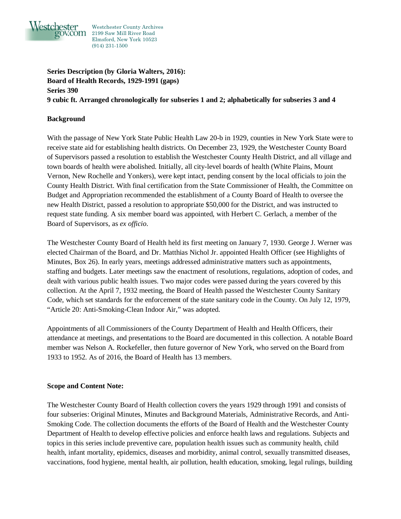

Westchester County Archives V.COM 2199 Saw Mill River Road Elmsford, New York 10523 (914) 231-1500

**Series Description (by Gloria Walters, 2016): Board of Health Records, 1929-1991 (gaps) Series 390 9 cubic ft. Arranged chronologically for subseries 1 and 2; alphabetically for subseries 3 and 4**

# **Background**

With the passage of New York State Public Health Law 20-b in 1929, counties in New York State were to receive state aid for establishing health districts. On December 23, 1929, the Westchester County Board of Supervisors passed a resolution to establish the Westchester County Health District, and all village and town boards of health were abolished. Initially, all city-level boards of health (White Plains, Mount Vernon, New Rochelle and Yonkers), were kept intact, pending consent by the local officials to join the County Health District. With final certification from the State Commissioner of Health, the Committee on Budget and Appropriation recommended the establishment of a County Board of Health to oversee the new Health District, passed a resolution to appropriate \$50,000 for the District, and was instructed to request state funding. A six member board was appointed, with Herbert C. Gerlach, a member of the Board of Supervisors, as *ex officio*.

The Westchester County Board of Health held its first meeting on January 7, 1930. George J. Werner was elected Chairman of the Board, and Dr. Matthias Nichol Jr. appointed Health Officer (see Highlights of Minutes, Box 26). In early years, meetings addressed administrative matters such as appointments, staffing and budgets. Later meetings saw the enactment of resolutions, regulations, adoption of codes, and dealt with various public health issues. Two major codes were passed during the years covered by this collection. At the April 7, 1932 meeting, the Board of Health passed the Westchester County Sanitary Code, which set standards for the enforcement of the state sanitary code in the County. On July 12, 1979, "Article 20: Anti-Smoking-Clean Indoor Air," was adopted.

Appointments of all Commissioners of the County Department of Health and Health Officers, their attendance at meetings, and presentations to the Board are documented in this collection. A notable Board member was Nelson A. Rockefeller, then future governor of New York, who served on the Board from 1933 to 1952. As of 2016, the Board of Health has 13 members.

#### **Scope and Content Note:**

The Westchester County Board of Health collection covers the years 1929 through 1991 and consists of four subseries: Original Minutes, Minutes and Background Materials, Administrative Records, and Anti-Smoking Code. The collection documents the efforts of the Board of Health and the Westchester County Department of Health to develop effective policies and enforce health laws and regulations. Subjects and topics in this series include preventive care, population health issues such as community health, child health, infant mortality, epidemics, diseases and morbidity, animal control, sexually transmitted diseases, vaccinations, food hygiene, mental health, air pollution, health education, smoking, legal rulings, building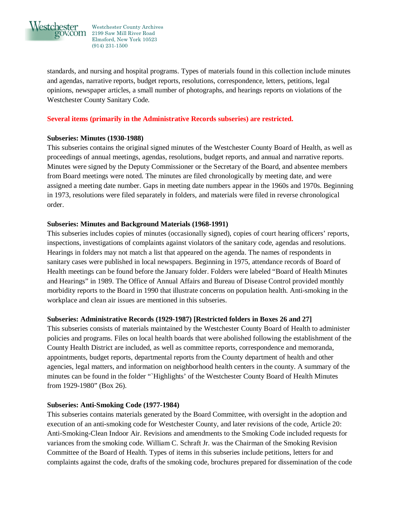

Westchester County Archives V.COM 2199 Saw Mill River Road Elmsford, New York 10523 (914) 231-1500

standards, and nursing and hospital programs. Types of materials found in this collection include minutes and agendas, narrative reports, budget reports, resolutions, correspondence, letters, petitions, legal opinions, newspaper articles, a small number of photographs, and hearings reports on violations of the Westchester County Sanitary Code.

## **Several items (primarily in the Administrative Records subseries) are restricted.**

#### **Subseries: Minutes (1930-1988)**

This subseries contains the original signed minutes of the Westchester County Board of Health, as well as proceedings of annual meetings, agendas, resolutions, budget reports, and annual and narrative reports. Minutes were signed by the Deputy Commissioner or the Secretary of the Board, and absentee members from Board meetings were noted. The minutes are filed chronologically by meeting date, and were assigned a meeting date number. Gaps in meeting date numbers appear in the 1960s and 1970s. Beginning in 1973, resolutions were filed separately in folders, and materials were filed in reverse chronological order.

## **Subseries: Minutes and Background Materials (1968-1991)**

This subseries includes copies of minutes (occasionally signed), copies of court hearing officers' reports, inspections, investigations of complaints against violators of the sanitary code, agendas and resolutions. Hearings in folders may not match a list that appeared on the agenda. The names of respondents in sanitary cases were published in local newspapers. Beginning in 1975, attendance records of Board of Health meetings can be found before the January folder. Folders were labeled "Board of Health Minutes and Hearings" in 1989. The Office of Annual Affairs and Bureau of Disease Control provided monthly morbidity reports to the Board in 1990 that illustrate concerns on population health. Anti-smoking in the workplace and clean air issues are mentioned in this subseries.

#### **Subseries: Administrative Records (1929-1987) [Restricted folders in Boxes 26 and 27]**

This subseries consists of materials maintained by the Westchester County Board of Health to administer policies and programs. Files on local health boards that were abolished following the establishment of the County Health District are included, as well as committee reports, correspondence and memoranda, appointments, budget reports, departmental reports from the County department of health and other agencies, legal matters, and information on neighborhood health centers in the county. A summary of the minutes can be found in the folder "`Highlights' of the Westchester County Board of Health Minutes from 1929-1980" (Box 26).

#### **Subseries: Anti-Smoking Code (1977-1984)**

This subseries contains materials generated by the Board Committee, with oversight in the adoption and execution of an anti-smoking code for Westchester County, and later revisions of the code, Article 20: Anti-Smoking-Clean Indoor Air. Revisions and amendments to the Smoking Code included requests for variances from the smoking code. William C. Schraft Jr. was the Chairman of the Smoking Revision Committee of the Board of Health. Types of items in this subseries include petitions, letters for and complaints against the code, drafts of the smoking code, brochures prepared for dissemination of the code